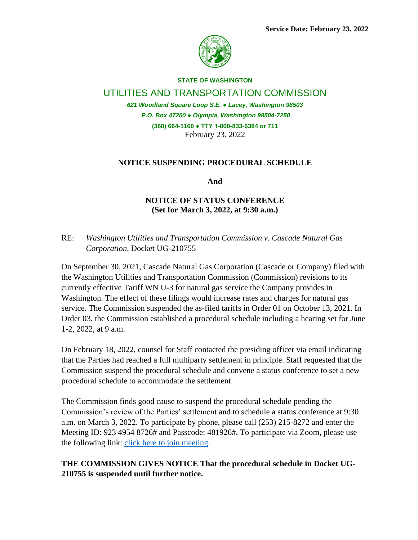

#### **STATE OF WASHINGTON**

UTILITIES AND TRANSPORTATION COMMISSION

*621 Woodland Square Loop S.E. ● Lacey, Washington 98503 P.O. Box 47250 ● Olympia, Washington 98504-7250* **(360) 664-1160 ● TTY 1-800-833-6384 or 711** February 23, 2022

#### **NOTICE SUSPENDING PROCEDURAL SCHEDULE**

**And**

### **NOTICE OF STATUS CONFERENCE (Set for March 3, 2022, at 9:30 a.m.)**

RE: *Washington Utilities and Transportation Commission v. Cascade Natural Gas Corporation*, Docket UG-210755

On September 30, 2021, Cascade Natural Gas Corporation (Cascade or Company) filed with the Washington Utilities and Transportation Commission (Commission) revisions to its currently effective Tariff WN U-3 for natural gas service the Company provides in Washington. The effect of these filings would increase rates and charges for natural gas service. The Commission suspended the as-filed tariffs in Order 01 on October 13, 2021. In Order 03, the Commission established a procedural schedule including a hearing set for June 1-2, 2022, at 9 a.m.

On February 18, 2022, counsel for Staff contacted the presiding officer via email indicating that the Parties had reached a full multiparty settlement in principle. Staff requested that the Commission suspend the procedural schedule and convene a status conference to set a new procedural schedule to accommodate the settlement.

The Commission finds good cause to suspend the procedural schedule pending the Commission's review of the Parties' settlement and to schedule a status conference at 9:30 a.m. on March 3, 2022. To participate by phone, please call (253) 215-8272 and enter the Meeting ID: 923 4954 8726# and Passcode: 481926#. To participate via Zoom, please use the following link: [click here to join meeting.](https://utc-wa-gov.zoom.us/j/92349548726?pwd=cEk1eEdxYkhOSnRIcTV5bGh5RjFZdz09)

## **THE COMMISSION GIVES NOTICE That the procedural schedule in Docket UG-210755 is suspended until further notice.**